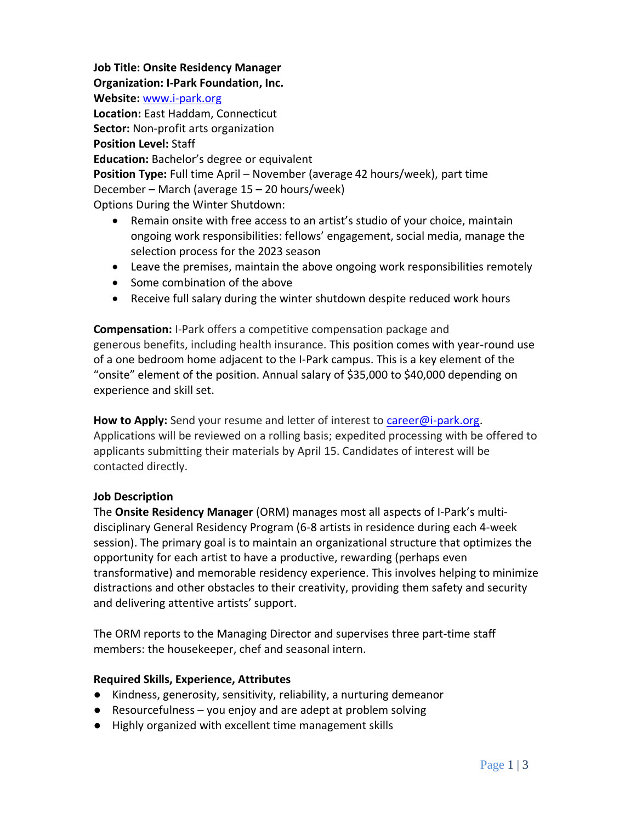**Job Title: Onsite Residency Manager**

**Organization: I-Park Foundation, Inc.**

**Website:** [www.i-park.org](http://www.i-park.org/)

**Location:** East Haddam, Connecticut

**Sector:** Non-profit arts organization

#### **Position Level:** Staff

**Education:** Bachelor's degree or equivalent

**Position Type:** Full time April – November (average 42 hours/week), part time December – March (average 15 – 20 hours/week)

Options During the Winter Shutdown:

- Remain onsite with free access to an artist's studio of your choice, maintain ongoing work responsibilities: fellows' engagement, social media, manage the selection process for the 2023 season
- Leave the premises, maintain the above ongoing work responsibilities remotely
- Some combination of the above
- Receive full salary during the winter shutdown despite reduced work hours

**Compensation:** I-Park offers a competitive compensation package and generous benefits, including health insurance. This position comes with year-round use of a one bedroom home adjacent to the I-Park campus. This is a key element of the "onsite" element of the position. Annual salary of \$35,000 to \$40,000 depending on experience and skill set.

**How to Apply:** Send your resume and letter of interest to [career@i-park.org.](mailto:career@i-park.org) Applications will be reviewed on a rolling basis; expedited processing with be offered to applicants submitting their materials by April 15. Candidates of interest will be contacted directly.

### **Job Description**

The **Onsite Residency Manager** (ORM) manages most all aspects of I-Park's multidisciplinary General Residency Program (6-8 artists in residence during each 4-week session). The primary goal is to maintain an organizational structure that optimizes the opportunity for each artist to have a productive, rewarding (perhaps even transformative) and memorable residency experience. This involves helping to minimize distractions and other obstacles to their creativity, providing them safety and security and delivering attentive artists' support.

The ORM reports to the Managing Director and supervises three part-time staff members: the housekeeper, chef and seasonal intern.

### **Required Skills, Experience, Attributes**

- Kindness, generosity, sensitivity, reliability, a nurturing demeanor
- $\bullet$  Resourcefulness you enjoy and are adept at problem solving
- Highly organized with excellent time management skills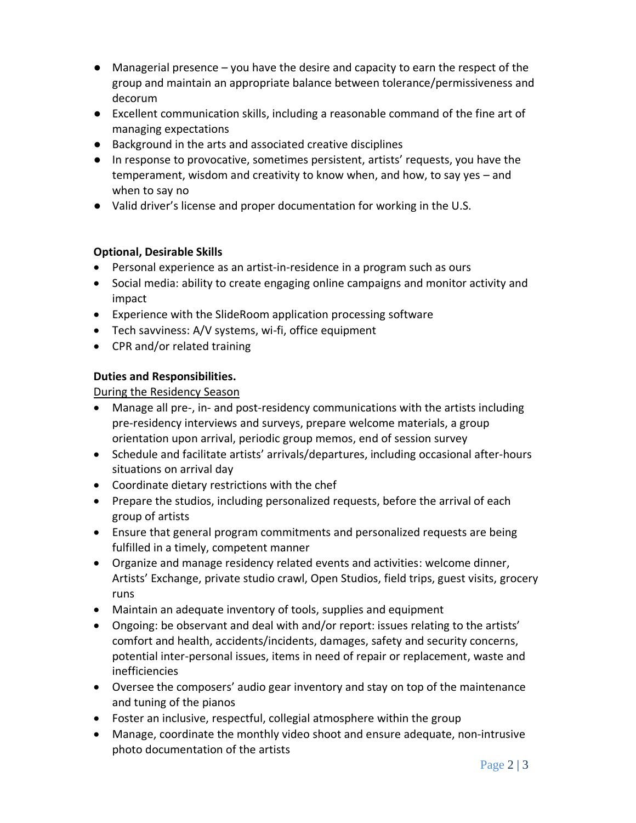- Managerial presence you have the desire and capacity to earn the respect of the group and maintain an appropriate balance between tolerance/permissiveness and decorum
- Excellent communication skills, including a reasonable command of the fine art of managing expectations
- Background in the arts and associated creative disciplines
- In response to provocative, sometimes persistent, artists' requests, you have the temperament, wisdom and creativity to know when, and how, to say yes – and when to say no
- Valid driver's license and proper documentation for working in the U.S.

# **Optional, Desirable Skills**

- Personal experience as an artist-in-residence in a program such as ours
- Social media: ability to create engaging online campaigns and monitor activity and impact
- Experience with the SlideRoom application processing software
- Tech savviness: A/V systems, wi-fi, office equipment
- CPR and/or related training

# **Duties and Responsibilities.**

During the Residency Season

- Manage all pre-, in- and post-residency communications with the artists including pre-residency interviews and surveys, prepare welcome materials, a group orientation upon arrival, periodic group memos, end of session survey
- Schedule and facilitate artists' arrivals/departures, including occasional after-hours situations on arrival day
- Coordinate dietary restrictions with the chef
- Prepare the studios, including personalized requests, before the arrival of each group of artists
- Ensure that general program commitments and personalized requests are being fulfilled in a timely, competent manner
- Organize and manage residency related events and activities: welcome dinner, Artists' Exchange, private studio crawl, Open Studios, field trips, guest visits, grocery runs
- Maintain an adequate inventory of tools, supplies and equipment
- Ongoing: be observant and deal with and/or report: issues relating to the artists' comfort and health, accidents/incidents, damages, safety and security concerns, potential inter-personal issues, items in need of repair or replacement, waste and inefficiencies
- Oversee the composers' audio gear inventory and stay on top of the maintenance and tuning of the pianos
- Foster an inclusive, respectful, collegial atmosphere within the group
- Manage, coordinate the monthly video shoot and ensure adequate, non-intrusive photo documentation of the artists